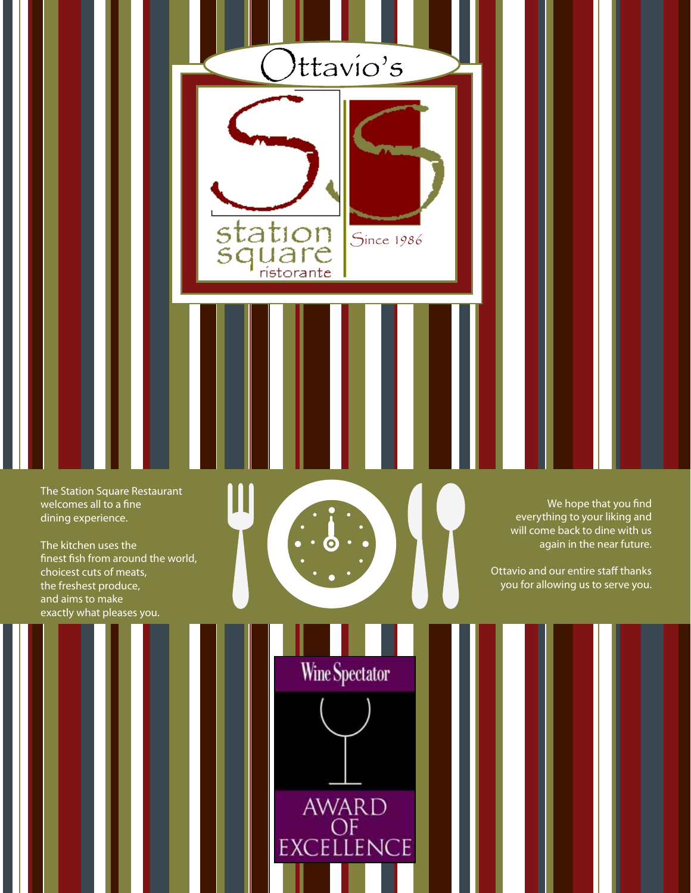

The Station Square Restaurant welcomes all to a fine dining experience.

The kitchen uses the finest fish from around the world, choicest cuts of meats, the freshest produce, and aims to make exactly what pleases you.



Wine Spectator

AWARD<br>OF<br>EXCELLENCE

Ш

We hope that you find everything to your liking and will come back to dine with us again in the near future.

Ottavio and our entire staff thanks you for allowing us to serve you.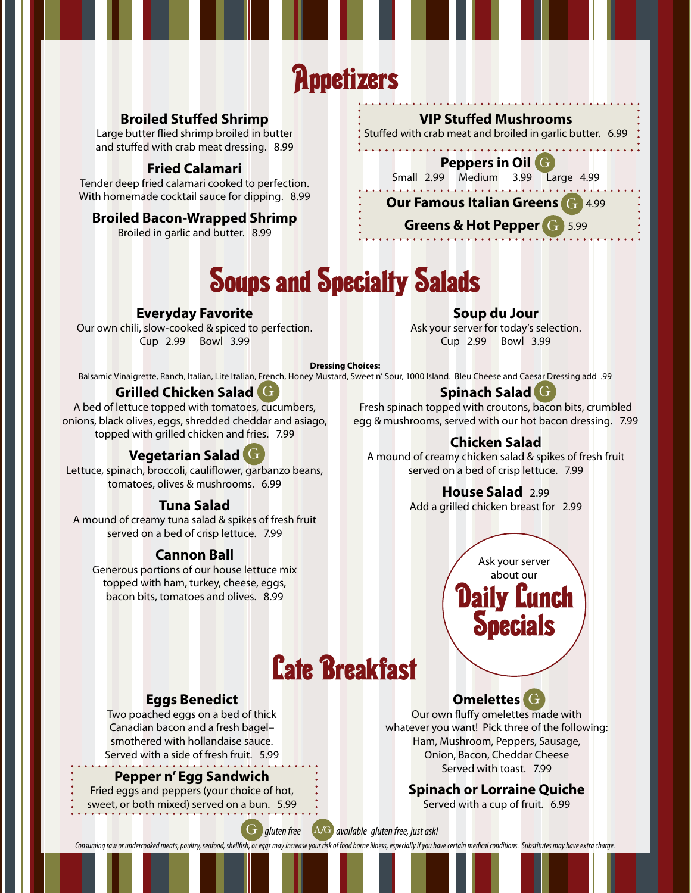# **Appetizers**

# **Broiled Stuffed Shrimp**

Large butter flied shrimp broiled in butter and stuffed with crab meat dressing. 8.99

#### **Fried Calamari**

Tender deep fried calamari cooked to perfection. With homemade cocktail sauce for dipping. 8.99

#### **Broiled Bacon-Wrapped Shrimp**

Broiled in garlic and butter. 8.99

#### **VIP Stuffed Mushrooms**

Stuffed with crab meat and broiled in garlic butter. 6.99

#### **Peppers in Oil** G G

Small 2.99 Medium 3.99 Large 4.99

# **Our Famous Italian Greens G 4.99**

### **Greens & Hot Pepper G 5.99**

# Soups and Specialty Salads

# **Everyday Favorite**

Our own chili, slow-cooked & spiced to perfection. Cup 2.99 Bowl 3.99

**Soup du Jour**

Ask your server for today's selection. Cup 2.99 Bowl 3.99

#### **Dressing Choices:**

Balsamic Vinaigrette, Ranch, Italian, Lite Italian, French, Honey Mustard, Sweet n' Sour, 1000 Island. Bleu Cheese and Caesar Dressing add .99

# **Grilled Chicken Salad** G

A bed of lettuce topped with tomatoes, cucumbers, onions, black olives, eggs, shredded cheddar and asiago, topped with grilled chicken and fries. 7.99

# **Vegetarian Salad** G G

Lettuce, spinach, broccoli, cauliflower, garbanzo beans, tomatoes, olives & mushrooms. 6.99

### **Tuna Salad**

A mound of creamy tuna salad & spikes of fresh fruit served on a bed of crisp lettuce. 7.99

#### **Cannon Ball**

Generous portions of our house lettuce mix topped with ham, turkey, cheese, eggs, bacon bits, tomatoes and olives. 8.99

# **Spinach Salad** G G G

Fresh spinach topped with croutons, bacon bits, crumbled egg & mushrooms, served with our hot bacon dressing. 7.99

# **Chicken Salad**

A mound of creamy chicken salad & spikes of fresh fruit served on a bed of crisp lettuce. 7.99

# **House Salad** 2.99

Add a grilled chicken breast for 2.99

Ask your server about our Daily Lunch

**Specials** 

# Late Breakfast

#### **Eggs Benedict**

Two poached eggs on a bed of thick Canadian bacon and a fresh bagel– smothered with hollandaise sauce. Served with a side of fresh fruit. 5.99

#### **Pepper n' Egg Sandwich**

Fried eggs and peppers (your choice of hot, sweet, or both mixed) served on a bun. 5.99



# **Omelettes** G G

Our own fluffy omelettes made with whatever you want! Pick three of the following: Ham, Mushroom, Peppers, Sausage, Onion, Bacon, Cheddar Cheese Served with toast. 7.99

### **Spinach or Lorraine Quiche**

Served with a cup of fruit. 6.99

G *gluten free* A/G *available gluten free, just ask!* 

*Consuming raw or undercooked meats, poultry, seafood, shellfish, or eggs may increase your risk of food borne illness, especially if you have certain medical conditions. Substitutes may have extra charge.*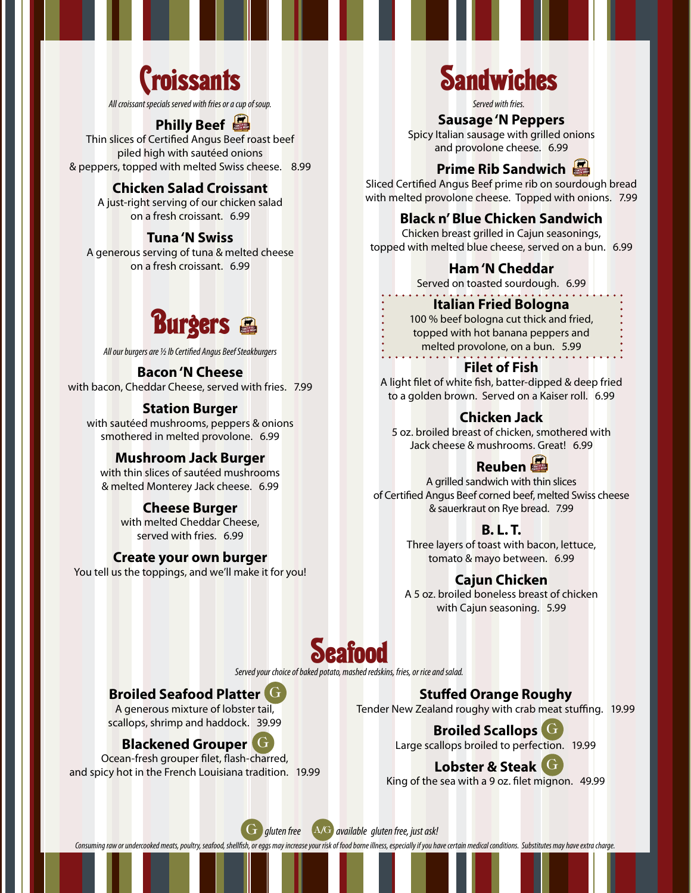

*All croissant specials served with fries or a cup of soup.*

# **Philly Beef**

Thin slices of Certified Angus Beef roast beef piled high with sautéed onions & peppers, topped with melted Swiss cheese. 8.99

#### **Chicken Salad Croissant**

A just-right serving of our chicken salad on a fresh croissant. 6.99

#### **Tuna 'N Swiss**

A generous serving of tuna & melted cheese on a fresh croissant. 6.99



*All our burgers are ½ lb Certified Angus Beef Steakburgers*

#### **Bacon 'N Cheese**  with bacon, Cheddar Cheese, served with fries. 7.99

#### **Station Burger**

with sautéed mushrooms, peppers & onions smothered in melted provolone. 6.99

#### **Mushroom Jack Burger**

with thin slices of sautéed mushrooms & melted Monterey Jack cheese. 6.99

#### **Cheese Burger**

with melted Cheddar Cheese. served with fries. 6.99

#### **Create your own burger**

You tell us the toppings, and we'll make it for you!

# **Sandwiches**

*Served with fries.*

#### **Sausage 'N Peppers**

Spicy Italian sausage with grilled onions and provolone cheese. 6.99

# **Prime Rib Sandwich**

Sliced Certified Angus Beef prime rib on sourdough bread with melted provolone cheese. Topped with onions. 7.99

### **Black n' Blue Chicken Sandwich**

Chicken breast grilled in Cajun seasonings, topped with melted blue cheese, served on a bun. 6.99

#### **Ham 'N Cheddar**

Served on toasted sourdough. 6.99

#### **Italian Fried Bologna**

100 % beef bologna cut thick and fried, topped with hot banana peppers and melted provolone, on a bun. 5.99

#### **Filet of Fish**

A light filet of white fish, batter-dipped & deep fried to a golden brown. Served on a Kaiser roll. 6.99

#### **Chicken Jack**

5 oz. broiled breast of chicken, smothered with Jack cheese & mushrooms. Great! 6.99

# **Reuben**

A grilled sandwich with thin slices of Certified Angus Beef corned beef, melted Swiss cheese & sauerkraut on Rye bread. 7.99

#### **B. L. T.**

Three layers of toast with bacon, lettuce, tomato & mayo between. 6.99

#### **Cajun Chicken**

A 5 oz. broiled boneless breast of chicken with Cajun seasoning. 5.99

# **Seafood**

*Served your choice of baked potato, mashed redskins, fries, or rice and salad.*

### **Broiled Seafood Platter** G G

A generous mixture of lobster tail, scallops, shrimp and haddock. 39.99

### **Blackened Grouper** G G

Ocean-fresh grouper filet, flash-charred, and spicy hot in the French Louisiana tradition. 19.99

**Stuffed Orange Roughy** Tender New Zealand roughy with crab meat stuffing. 19.99

> **Broiled Scallops** G G Large scallops broiled to perfection. 19.99

# **Lobster & Steak** G G

King of the sea with a 9 oz. filet mignon. 49.99



*Consuming raw or undercooked meats, poultry, seafood, shellfish, or eggs may increase your risk of food borne illness, especially if you have certain medical conditions. Substitutes may have extra charge.*